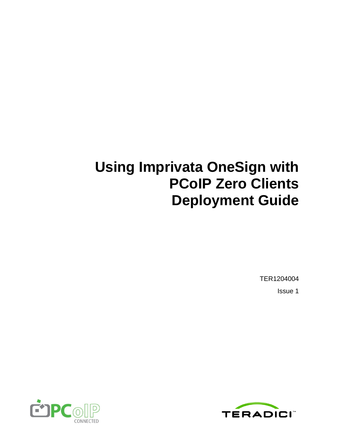# **Using Imprivata OneSign with PCoIP Zero Clients Deployment Guide**

TER1204004 Issue 1



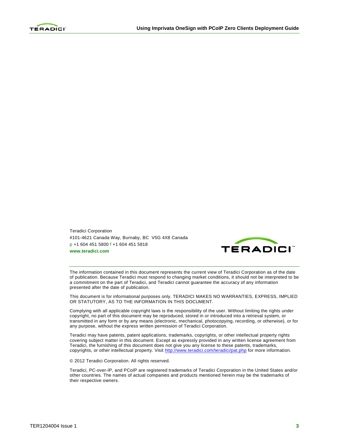

Teradici Corporation #101-4621 Canada Way, Burnaby, BC V5G 4X8 Canada p +1 604 451 5800 f +1 604 451 5818 **www.teradici.com**



The information contained in this document represents the current view of Teradici Corporation as of the date of publication. Because Teradici must respond to changing market conditions, it should not be interpreted to be a commitment on the part of Teradici, and Teradici cannot guarantee the accuracy of any information presented after the date of publication.

This document is for informational purposes only. TERADICI MAKES NO WARRANTIES, EXPRESS, IMPLIED OR STATUTORY, AS TO THE INFORMATION IN THIS DOCUMENT.

Complying with all applicable copyright laws is the responsibility of the user. Without limiting the rights under copyright, no part of this document may be reproduced, stored in or introduced into a retrieval system, or transmitted in any form or by any means (electronic, mechanical, photocopying, recording, or otherwise), or for any purpose, without the express written permission of Teradici Corporation.

Teradici may have patents, patent applications, trademarks, copyrights, or other intellectual property rights covering subject matter in this document. Except as expressly provided in any written license agreement from Teradici, the furnishing of this document does not give you any license to these patents, trademarks, copyrights, or other intellectual property. Visit<http://www.teradici.com/teradici/pat.php> for more information.

© 2012 Teradici Corporation. All rights reserved.

Teradici, PC-over-IP, and PCoIP are registered trademarks of Teradici Corporation in the United States and/or other countries. The names of actual companies and products mentioned herein may be the trademarks of their respective owners.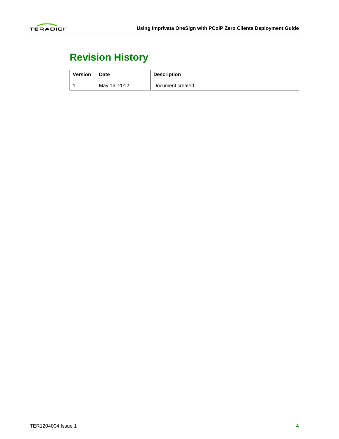

## **Revision History**

| <b>Version</b> | <b>Date</b>  | <b>Description</b> |
|----------------|--------------|--------------------|
|                | May 16, 2012 | Document created.  |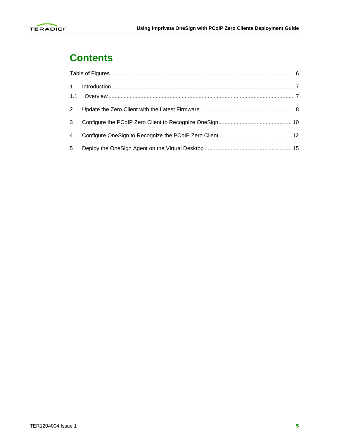

#### **Contents**

| 3 |  |
|---|--|
| 4 |  |
| 5 |  |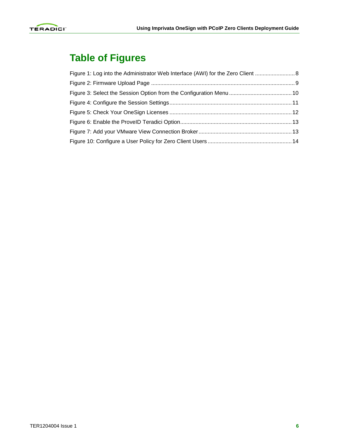

### <span id="page-4-0"></span>**Table of Figures**

| Figure 1: Log into the Administrator Web Interface (AWI) for the Zero Client  8 |  |
|---------------------------------------------------------------------------------|--|
|                                                                                 |  |
|                                                                                 |  |
|                                                                                 |  |
|                                                                                 |  |
|                                                                                 |  |
|                                                                                 |  |
|                                                                                 |  |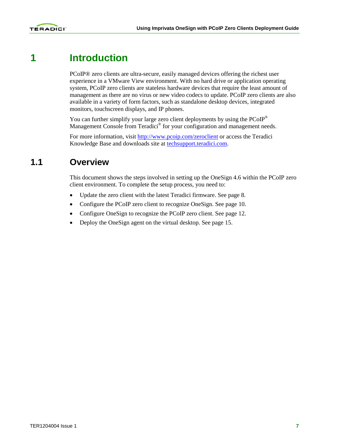

#### **1 Introduction**

<span id="page-5-0"></span>PCoIP® zero clients are ultra-secure, easily managed devices offering the richest user experience in a VMware View environment. With no hard drive or application operating system, PCoIP zero clients are stateless hardware devices that require the least amount of management as there are no virus or new video codecs to update. PCoIP zero clients are also available in a variety of form factors, such as standalone desktop devices, integrated monitors, touchscreen displays, and IP phones.

You can further simplify your large zero client deployments by using the  $PCoIP^{\circledast}$ Management Console from Teradici<sup>®</sup> for your configuration and management needs.

<span id="page-5-1"></span>For more information, visit<http://www.pcoip.com/zeroclient> or access the Teradici Knowledge Base and downloads site at techsupport.teradici.com.

#### **1.1 Overview**

This document shows the steps involved in setting up the OneSign 4.6 within the PCoIP zero client environment. To complete the setup process, you need to:

- Update the zero client with the latest Teradici firmware. See page [8.](#page-6-0)
- Configure the PCoIP zero client to recognize OneSign. See page [10.](#page-8-0)
- Configure OneSign to recognize the PCoIP zero client. See page [12.](#page-10-0)
- Deploy the OneSign agent on the virtual desktop. See page [15.](#page-13-0)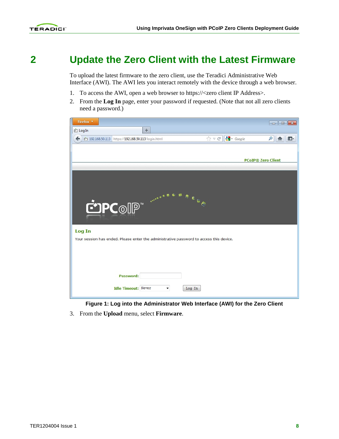

### **2 Update the Zero Client with the Latest Firmware**

<span id="page-6-0"></span>To upload the latest firmware to the zero client, use the Teradici Administrative Web Interface (AWI). The AWI lets you interact remotely with the device through a web browser.

- 1. To access the AWI, open a web browser to https://<zero client IP Address>.
- 2. From the **Log In** page, enter your password if requested. (Note that not all zero clients need a password.)



**Figure 1: Log into the Administrator Web Interface (AWI) for the Zero Client**

<span id="page-6-1"></span>3. From the **Upload** menu, select **Firmware**.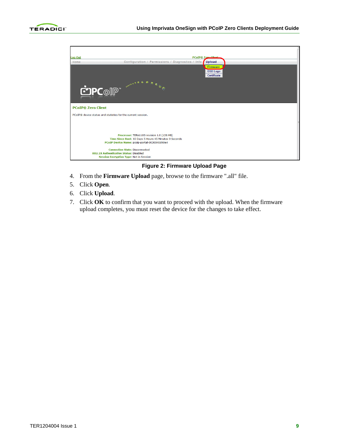



#### **Figure 2: Firmware Upload Page**

- <span id="page-7-0"></span>4. From the **Firmware Upload** page, browse to the firmware ".all" file.
- 5. Click **Open**.
- 6. Click **Upload**.
- 7. Click **OK** to confirm that you want to proceed with the upload. When the firmware upload completes, you must reset the device for the changes to take effect.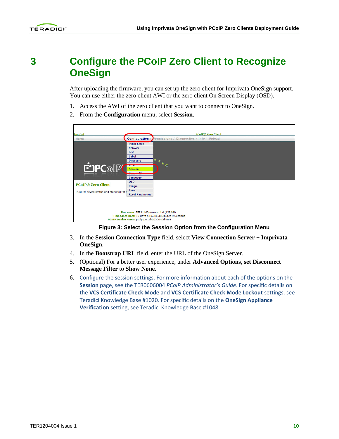### <span id="page-8-0"></span>**3 Configure the PCoIP Zero Client to Recognize OneSign**

After uploading the firmware, you can set up the zero client for Imprivata OneSign support. You can use either the zero client AWI or the zero client On Screen Display (OSD).

- 1. Access the AWI of the zero client that you want to connect to OneSign.
- 2. From the **Configuration** menu, select **Session**.

| <b>Log Out</b>                                                                               | <b>PCoIP® Zero Client</b>                                                                                                                                                                                                                                                                        |
|----------------------------------------------------------------------------------------------|--------------------------------------------------------------------------------------------------------------------------------------------------------------------------------------------------------------------------------------------------------------------------------------------------|
| Home                                                                                         | Configuration /<br>Permissions / Diagnostics / Info / Upload                                                                                                                                                                                                                                     |
| <b>COPC</b> of PL<br><b>PCoIP® Zero Client</b><br>PCoIP® device status and statistics for t- | <b>Initial Setup</b><br><b>Network</b><br>IP <sub>v6</sub><br>Label<br><b>Discovery</b><br>$\begin{array}{c} \mathbf{c} \\ \mathbf{c} \end{array}$<br><b>SIVINIE</b><br><b>Session</b><br><b>Contract Contract Contract</b><br>---------------<br>Language<br><b>OSD</b><br>Image<br><b>Time</b> |
|                                                                                              | <b>Reset Parameters</b><br>Processor: TERA1100 revision 1.0 (128 MB)<br>Time Since Boot: 10 Days 5 Hours 58 Minutes 9 Seconds<br>PCoIP Device Name: pcoip-portal-0030040d48e4                                                                                                                    |

**Figure 3: Select the Session Option from the Configuration Menu**

- <span id="page-8-1"></span>3. In the **Session Connection Type** field, select **View Connection Server + Imprivata OneSign**.
- 4. In the **Bootstrap URL** field, enter the URL of the OneSign Server.
- 5. (Optional) For a better user experience, under **Advanced Options**, **set Disconnect Message Filter** to **Show None**.
- 6. Configure the session settings. For more information about each of the options on the **Session** page, see the TER0606004 *PCoIP Administrator's Guide*. For specific details on the **VCS Certificate Check Mode** and **VCS Certificate Check Mode Lockout** settings, see Teradici Knowledge Base #1020. For specific details on the **OneSign Appliance Verification** setting, see Teradici Knowledge Base #1048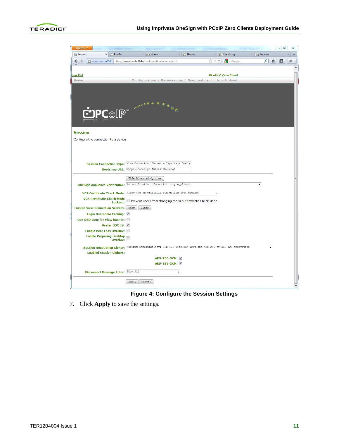

| Firefox *           |                                              |                                 |                                     |                                                                                                            |                       |                 |            |                             |                                | 回<br>$\qquad \qquad \Box$ | $\Sigma$ |
|---------------------|----------------------------------------------|---------------------------------|-------------------------------------|------------------------------------------------------------------------------------------------------------|-----------------------|-----------------|------------|-----------------------------|--------------------------------|---------------------------|----------|
| <b>Fig.</b> Session |                                              | $\times$   $\dot{C}$   Log In   | $\times$                            | <b>Fig Home</b>                                                                                            | $\times$              | <b>Fig Home</b> | $\times$   | <b>Fig. Event Log</b>       | <b>Fin</b> Success<br>$\times$ |                           | ÷        |
| ←<br>i alb          |                                              |                                 |                                     | apreston-buffalo https://apreston-buffalo/configuration/session.html                                       |                       |                 | $\sqrt{2}$ | $\frac{1}{2}$ - Google<br>c | م                              | ⊪∗                        | alt.     |
|                     |                                              |                                 |                                     |                                                                                                            |                       |                 |            |                             |                                |                           |          |
| <b>Log Out</b>      |                                              |                                 |                                     |                                                                                                            |                       |                 |            | <b>PCoIP® Zero Client</b>   |                                |                           |          |
| Home                |                                              |                                 |                                     | Configuration / Permissions / Diagnostics / Info / Upload                                                  |                       |                 |            |                             |                                |                           |          |
|                     |                                              | PCOIP <sup>®</sup>              |                                     |                                                                                                            |                       |                 |            |                             |                                |                           |          |
| <b>Session</b>      |                                              |                                 |                                     |                                                                                                            |                       |                 |            |                             |                                |                           |          |
|                     | Configure the connection to a device         |                                 |                                     |                                                                                                            |                       |                 |            |                             |                                |                           |          |
|                     |                                              |                                 |                                     |                                                                                                            |                       |                 |            |                             |                                |                           |          |
|                     |                                              |                                 |                                     | Session Connection Type: View Connection Server + Imprivata One!                                           |                       |                 |            |                             |                                |                           |          |
|                     |                                              |                                 |                                     | Bootstrap URL: https://onesign.fwteralab.local                                                             |                       |                 |            |                             |                                |                           |          |
|                     |                                              |                                 |                                     | Hide Advanced Options                                                                                      |                       |                 |            |                             |                                |                           |          |
|                     |                                              |                                 |                                     | OneSign Appliance Verification: No verification: Connect to any appliance                                  |                       |                 |            |                             |                                |                           |          |
|                     |                                              |                                 |                                     | VCS Certificate Check Mode: Allow the unverifiable connection (Not Secure)                                 |                       |                 |            |                             |                                |                           |          |
|                     | <b>VCS Certificate Check Mode</b>            |                                 |                                     |                                                                                                            |                       |                 |            |                             |                                |                           |          |
|                     |                                              | Lockout:                        |                                     | Prevent users from changing the VCS Certificate Check Mode                                                 |                       |                 |            |                             |                                |                           |          |
|                     | <b>Trusted View Connection Servers:</b> Show |                                 |                                     | Clear                                                                                                      |                       |                 |            |                             |                                |                           |          |
|                     |                                              | Login Username Caching:         |                                     |                                                                                                            |                       |                 |            |                             |                                |                           |          |
|                     | Use OSD Logo for View banner:                | Prefer GSC-IS: ☑                |                                     |                                                                                                            |                       |                 |            |                             |                                |                           |          |
|                     |                                              | Enable Peer Loss Overlay:       |                                     |                                                                                                            |                       |                 |            |                             |                                |                           |          |
|                     |                                              | <b>Enable Preparing Desktop</b> |                                     |                                                                                                            |                       |                 |            |                             |                                |                           |          |
|                     |                                              | <b>Overlav:</b>                 |                                     |                                                                                                            |                       |                 |            |                             |                                |                           |          |
|                     |                                              |                                 |                                     | Session Negotiation Cipher: Maximum Compatibility: TLS 1.0 with RSA keys and AES-256 or AES-128 encryption |                       |                 |            |                             |                                | $\cdot$                   |          |
|                     |                                              | <b>Enabled Session Ciphers:</b> |                                     |                                                                                                            |                       |                 |            |                             |                                |                           |          |
|                     |                                              |                                 |                                     |                                                                                                            | AES-256-GCM: <b>▽</b> |                 |            |                             |                                |                           |          |
|                     |                                              |                                 |                                     |                                                                                                            | AES-128-GCM: V        |                 |            |                             |                                |                           |          |
|                     |                                              |                                 | Disconnect Message Filter: Show All |                                                                                                            | ٠                     |                 |            |                             |                                |                           |          |
|                     |                                              |                                 | Apply                               | Cancel                                                                                                     |                       |                 |            |                             |                                |                           |          |

**Figure 4: Configure the Session Settings**

<span id="page-9-0"></span>7. Click **Apply** to save the settings.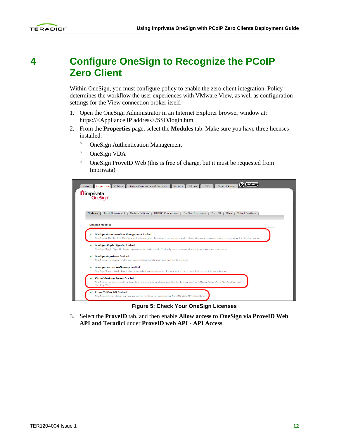#### <span id="page-10-0"></span>**4 Configure OneSign to Recognize the PCoIP Zero Client**

Within OneSign, you must configure policy to enable the zero client integration. Policy determines the workflow the user experiences with VMware View, as well as configuration settings for the View connection broker itself.

- 1. Open the OneSign Administrator in an Internet Explorer browser window at: https://<Appliance IP address>/SSO/login.html
- 2. From the **Properties** page, select the **Modules** tab. Make sure you have three licenses installed:
	- ° OneSign Authentication Management
	- ° OneSign VDA
	- ° OneSign ProveID Web (this is free of charge, but it must be requested from Imprivata)

| <b>Modules</b> | imprivata<br>OneSign<br><b>Virtual Desktops</b><br><b>Agent Deployment</b><br><b>System Settings</b><br><b>RADIUS Connections</b><br><b>OneSign Extensions</b><br>ProveID<br><b>Sites</b> |
|----------------|-------------------------------------------------------------------------------------------------------------------------------------------------------------------------------------------|
|                |                                                                                                                                                                                           |
|                |                                                                                                                                                                                           |
|                |                                                                                                                                                                                           |
|                |                                                                                                                                                                                           |
|                |                                                                                                                                                                                           |
|                | <b>OneSign Modules</b>                                                                                                                                                                    |
|                | <b>OneSign Authentication Management Enabled</b>                                                                                                                                          |
|                | OneSign Authentication Management helps organizations increase security and replace Windows passwords with a range of authentication options.                                             |
|                |                                                                                                                                                                                           |
|                | √ OneSign Single Sign-On Enabled<br>OneSign Single Sign-On helps organizations quickly and effectively solve password security and user access issues.                                    |
|                |                                                                                                                                                                                           |
| ✔              | <b>OneSign Anywhere Enabled</b>                                                                                                                                                           |
|                | OneSign Anywhere provides secure remote application access and single sign-on.                                                                                                            |
|                | <b>OneSign Secure Walk-Away Enabled</b>                                                                                                                                                   |
|                | OneSign Secure Walk-Away allows workstations to automatically lock when user is not detected at the workstation.                                                                          |
|                | <b>Virtual Desktop Access Enabled</b>                                                                                                                                                     |
|                | OneSign provides extended integration, automation, and strong authentication support for VMware View, Citrix XenDesktop and                                                               |
|                |                                                                                                                                                                                           |
|                | Sun Ray VDI.                                                                                                                                                                              |
|                | <b>ProveID Web API Enabled</b>                                                                                                                                                            |

**Figure 5: Check Your OneSign Licenses**

<span id="page-10-1"></span>3. Select the **ProveID** tab, and then enable **Allow access to OneSign via ProveID Web API and Teradici** under **ProveID web API - API Access**.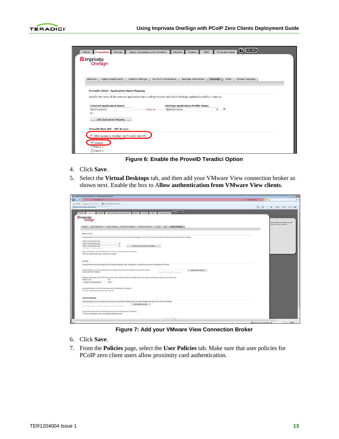

| <b>Modules</b><br><b>Agent Deployment</b><br><b>System Settings</b>                                                    |         | <b>OneSign Extensions</b><br><b>RADIUS Connections</b> | <b>ProveID</b>       | Virtual Desktops<br><b>Sites</b> |
|------------------------------------------------------------------------------------------------------------------------|---------|--------------------------------------------------------|----------------------|----------------------------------|
|                                                                                                                        |         |                                                        |                      |                                  |
| <b>ProveID Client - Application Name Mapping</b>                                                                       |         |                                                        |                      |                                  |
|                                                                                                                        |         |                                                        |                      |                                  |
| Specify the name of the external application that is calling ProveID and which OneSign application profile it maps to. |         |                                                        |                      |                                  |
| <b>External Application Name</b>                                                                                       |         | <b>OneSign Application Profile Name</b>                |                      |                                  |
| EpicConnector                                                                                                          | maps to | EpicConnector                                          | $\blacktriangledown$ | ×                                |
| Or                                                                                                                     |         |                                                        |                      |                                  |
| <b>Add Application Mapping</b>                                                                                         |         |                                                        |                      |                                  |
|                                                                                                                        |         |                                                        |                      |                                  |
|                                                                                                                        |         |                                                        |                      |                                  |
| <b>ProveID Web API - API Access</b>                                                                                    |         |                                                        |                      |                                  |

**Figure 6: Enable the ProveID Teradici Option**

- <span id="page-11-0"></span>4. Click **Save**.
- 5. Select the **Virtual Desktops** tab, and then add your VMware View connection broker as shown next. Enable the box to A**llow authentication from VMware View clients**.

| Caroli v P Impermental fateshibitosi verantitiman me                                                                                                     | <b>ROSTOR NOW</b><br>v J Centicate Engr   19   All   2   Bing |
|----------------------------------------------------------------------------------------------------------------------------------------------------------|---------------------------------------------------------------|
|                                                                                                                                                          |                                                               |
| or favories da in line Sice Gallery . Or stevenholds autobrody                                                                                           |                                                               |
| 29 Imprirata OneSign Administrator                                                                                                                       | Q · (2 · 13 · Page > Safety - Tools • Q ·                     |
| Porte Properties Policies   Users, Computers and Composite   Taboris   Tokans   SSO   Physical Access   O (CSCVI)                                        |                                                               |
|                                                                                                                                                          |                                                               |
| Il imprivata                                                                                                                                             |                                                               |
| OneSign                                                                                                                                                  | Use this page to manage Virtual.                              |
|                                                                                                                                                          | Desktop Access settings.                                      |
| Hodules   Agent Deployment   System Settings   RADOUS Connections   OneSign Extersions   ProveDD   Sites   Virtual Desktops                              |                                                               |
|                                                                                                                                                          |                                                               |
| <b>Wilware View</b>                                                                                                                                      |                                                               |
| OneSign agents will communicate only with known VHware View Connection Managers. List the URL of each Connection Manager that will be used with OneSign. |                                                               |
|                                                                                                                                                          |                                                               |
| Nipe://vcs1.teredici.local<br>×<br>https://vcs2.teradici.local                                                                                           |                                                               |
| $\times$<br>Add another Connection Manager<br>https://vis3.teradio.local                                                                                 |                                                               |
| 181 (Mary Conservation and                                                                                                                               |                                                               |
| User authentication from all Ultware View clients can be disallowed if necessary.                                                                        |                                                               |
| Z. Allow authentication from VMware View clients                                                                                                         |                                                               |
|                                                                                                                                                          |                                                               |
|                                                                                                                                                          |                                                               |
| <b>Sun Ray</b>                                                                                                                                           |                                                               |
| Sun Ray servers must be configured with OneSign software. After configuration, provide the server and configuration info hane.                           |                                                               |
| OneSign agents will communicate only with trusted Sun Ray servers. List each Sun Ray server that                                                         |                                                               |
| Add another server<br>will be used with OneSign.<br>IR OLD R (E) or DNS (twins domain apre)                                                              |                                                               |
|                                                                                                                                                          |                                                               |
| OneSign configuration info for Sun Ray servers. The software must be installed in the same location and use the same port on all servers.                |                                                               |
|                                                                                                                                                          |                                                               |
| Relative URI<br>Port.                                                                                                                                    |                                                               |
| 8080<br>/onesign/CardEventPusher                                                                                                                         |                                                               |
|                                                                                                                                                          |                                                               |
| User authentication from Sun Ray clients can be disallowed if necessary.                                                                                 |                                                               |
| [1] Allow authentication from Sun Ray devices                                                                                                            |                                                               |
|                                                                                                                                                          |                                                               |
| <b>Citrix XenDesktop</b>                                                                                                                                 |                                                               |
|                                                                                                                                                          |                                                               |
| OneSign agents will communicate only with known XenDesktop PNAgent sites. List each PNAgent site that will be used with OneSign.                         |                                                               |
| Add another server<br>Full PARamt and VIIs Co.p., Peace Christmasm and Corra PARamt?                                                                     |                                                               |
|                                                                                                                                                          |                                                               |
| User authentication from all XenDesktop devices can be disafowed if necessary.                                                                           |                                                               |
| Allow authorization from XenDesktop enabled devices                                                                                                      |                                                               |

**Figure 7: Add your VMware View Connection Broker**

- <span id="page-11-1"></span>6. Click **Save**.
- 7. From the **Policies** page, select the **User Policies** tab. Make sure that user policies for PCoIP zero client users allow proximity card authentication.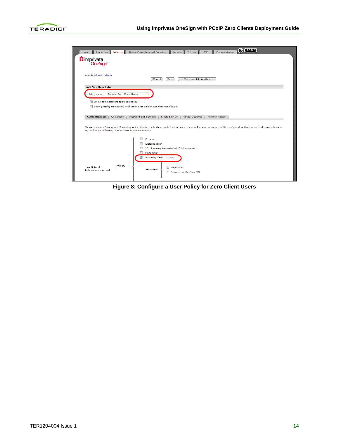

<span id="page-12-0"></span>

**Figure 8: Configure a User Policy for Zero Client Users**